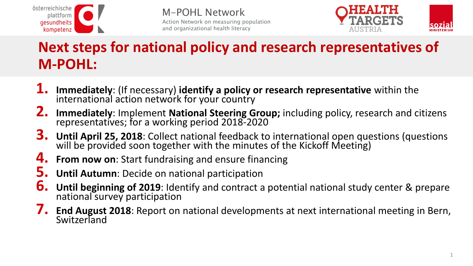



### **Next steps for national policy and research representatives of M-POHL:**

- **1. Immediately**: (If necessary) **identify a policy or research representative** within the international action network for your country
- **2. Immediately**: Implement **National Steering Group;** including policy, research and citizens representatives; for a working period 2018-2020
- **3. Until April 25, 2018**: Collect national feedback to international open questions (questions will be provided soon together with the minutes of the Kickoff Meeting)
- **4. From now on**: Start fundraising and ensure financing
- **5. Until Autumn**: Decide on national participation
- **6. Until beginning of 2019**: Identify and contract a potential national study center & prepare national survey participation
- **7. End August 2018**: Report on national developments at next international meeting in Bern, **Switzerland**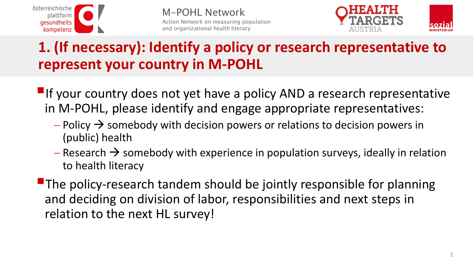



#### **1. (If necessary): Identify a policy or research representative to represent your country in M-POHL**

- $\blacksquare$ If your country does not yet have a policy AND a research representative in M-POHL, please identify and engage appropriate representatives:
	- $P$  Policy  $\rightarrow$  somebody with decision powers or relations to decision powers in (public) health
	- $R$  Research  $\rightarrow$  somebody with experience in population surveys, ideally in relation to health literacy

 $\blacksquare$  The policy-research tandem should be jointly responsible for planning and deciding on division of labor, responsibilities and next steps in relation to the next HL survey!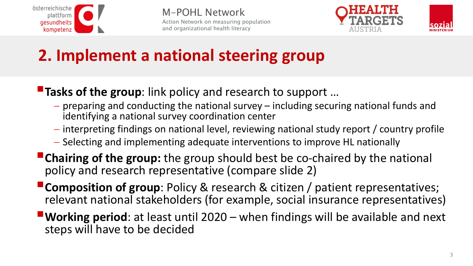





# **2. Implement a national steering group**

#### **Tasks of the group**: link policy and research to support ...

- $-$  preparing and conducting the national survey  $-$  including securing national funds and identifying a national survey coordination center
- $i-$  interpreting findings on national level, reviewing national study report / country profile
- Selecting and implementing adequate interventions to improve HL nationally
- **Chairing of the group:** the group should best be co-chaired by the national policy and research representative (compare slide 2)
- **Composition of group**: Policy & research & citizen / patient representatives; relevant national stakeholders (for example, social insurance representatives)
- **Working period**: at least until 2020 when findings will be available and next steps will have to be decided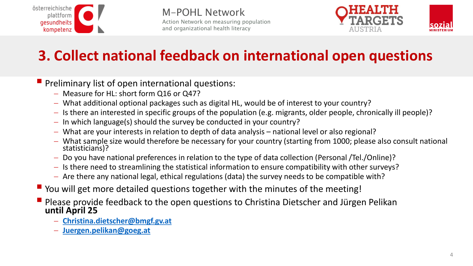



### **3. Collect national feedback on international open questions**

**Preliminary list of open international questions:** 

- Measure for HL: short form Q16 or Q47?
- What additional optional packages such as digital HL, would be of interest to your country?
- Is there an interested in specific groups of the population (e.g. migrants, older people, chronically ill people)?
- $-In$  which language(s) should the survey be conducted in your country?
- What are your interests in relation to depth of data analysis national level or also regional?
- What sample size would therefore be necessary for your country (starting from 1000; please also consult national statisticians)?
- Do you have national preferences in relation to the type of data collection (Personal /Tel./Online)?
- Is there need to streamlining the statistical information to ensure compatibility with other surveys?
- Are there any national legal, ethical regulations (data) the survey needs to be compatible with?
- You will get more detailed questions together with the minutes of the meeting!
- **P** Please provide feedback to the open questions to Christina Dietscher and Jürgen Pelikan **until April 25**
	- **[Christina.dietscher@bmgf.gv.at](mailto:Christina.dietscher@bmgf.gv.at)**
	- **[Juergen.pelikan@goeg.at](mailto:Juergen.pelikan@goeg.at)**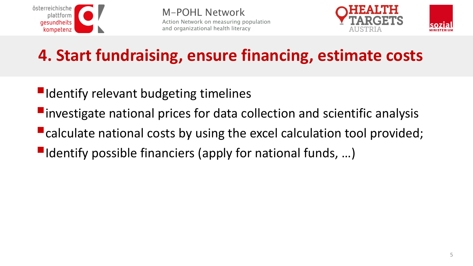



# **4. Start fundraising, ensure financing, estimate costs**

- $\blacksquare$ Identify relevant budgeting timelines
- $\blacksquare$  investigate national prices for data collection and scientific analysis
- **E** calculate national costs by using the excel calculation tool provided;
- $\blacksquare$ Identify possible financiers (apply for national funds, ...)

sozia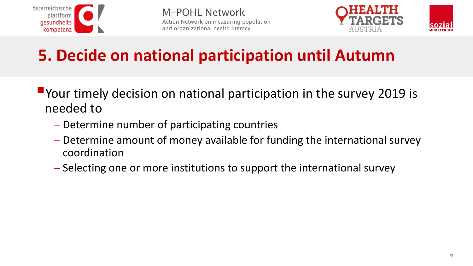





# **5. Decide on national participation until Autumn**

- **P**Your timely decision on national participation in the survey 2019 is needed to
	- Determine number of participating countries
	- Determine amount of money available for funding the international survey coordination
	- Selecting one or more institutions to support the international survey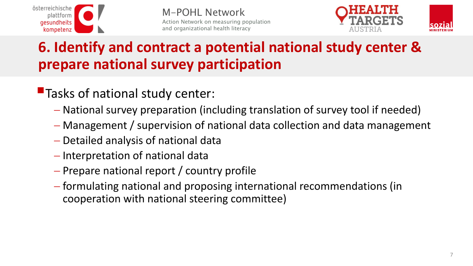



#### **6. Identify and contract a potential national study center & prepare national survey participation**

- **Tasks of national study center:** 
	- National survey preparation (including translation of survey tool if needed)
	- Management / supervision of national data collection and data management
	- Detailed analysis of national data
	- Interpretation of national data
	- Prepare national report / country profile
	- formulating national and proposing international recommendations (in cooperation with national steering committee)